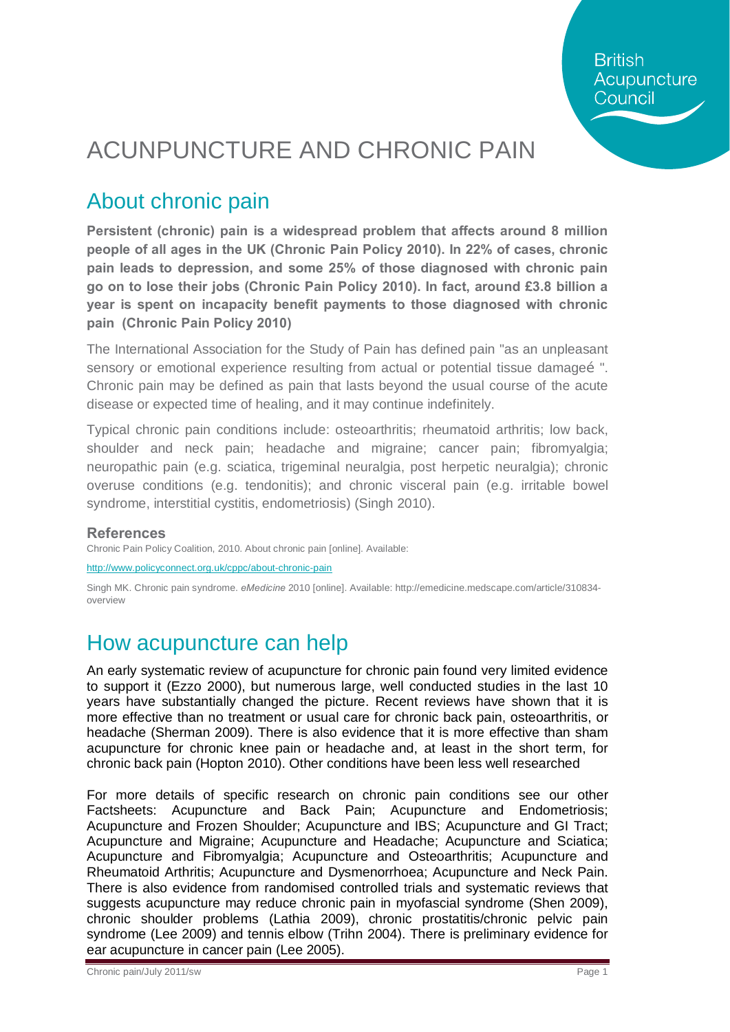**British** Acupuncture Council

# ACUNPUNCTURE AND CHRONIC PAIN

#### About chronic pain

**Persistent (chronic) pain is a widespread problem that affects around 8 million people of all ages in the UK (Chronic Pain Policy 2010). In 22% of cases, chronic pain leads to depression, and some 25% of those diagnosed with chronic pain go on to lose their jobs (Chronic Pain Policy 2010). In fact, around £3.8 billion a year is spent on incapacity benefit payments to those diagnosed with chronic pain (Chronic Pain Policy 2010)**

The International Association for the Study of Pain has defined pain "as an unpleasant sensory or emotional experience resulting from actual or potential tissue damageo". Chronic pain may be defined as pain that lasts beyond the usual course of the acute disease or expected time of healing, and it may continue indefinitely.

Typical chronic pain conditions include: osteoarthritis; rheumatoid arthritis; low back, shoulder and neck pain; headache and migraine; cancer pain; fibromyalgia; neuropathic pain (e.g. sciatica, trigeminal neuralgia, post herpetic neuralgia); chronic overuse conditions (e.g. tendonitis); and chronic visceral pain (e.g. irritable bowel syndrome, interstitial cystitis, endometriosis) (Singh 2010).

#### **References**

Chronic Pain Policy Coalition, 2010. About chronic pain [online]. Available:

<http://www.policyconnect.org.uk/cppc/about-chronic-pain>

Singh MK. Chronic pain syndrome. *eMedicine* 2010 [online]. Available: http://emedicine.medscape.com/article/310834 overview

#### How acupuncture can help

An early systematic review of acupuncture for chronic pain found very limited evidence to support it (Ezzo 2000), but numerous large, well conducted studies in the last 10 years have substantially changed the picture. Recent reviews have shown that it is more effective than no treatment or usual care for chronic back pain, osteoarthritis, or headache (Sherman 2009). There is also evidence that it is more effective than sham acupuncture for chronic knee pain or headache and, at least in the short term, for chronic back pain (Hopton 2010). Other conditions have been less well researched

For more details of specific research on chronic pain conditions see our other Factsheets: Acupuncture and Back Pain; Acupuncture and Endometriosis; Acupuncture and Frozen Shoulder; Acupuncture and IBS; Acupuncture and GI Tract; Acupuncture and Migraine; Acupuncture and Headache; Acupuncture and Sciatica; Acupuncture and Fibromyalgia; Acupuncture and Osteoarthritis; Acupuncture and Rheumatoid Arthritis; Acupuncture and Dysmenorrhoea; Acupuncture and Neck Pain. There is also evidence from randomised controlled trials and systematic reviews that suggests acupuncture may reduce chronic pain in myofascial syndrome (Shen 2009), chronic shoulder problems (Lathia 2009), chronic prostatitis/chronic pelvic pain syndrome (Lee 2009) and tennis elbow (Trihn 2004). There is preliminary evidence for ear acupuncture in cancer pain (Lee 2005).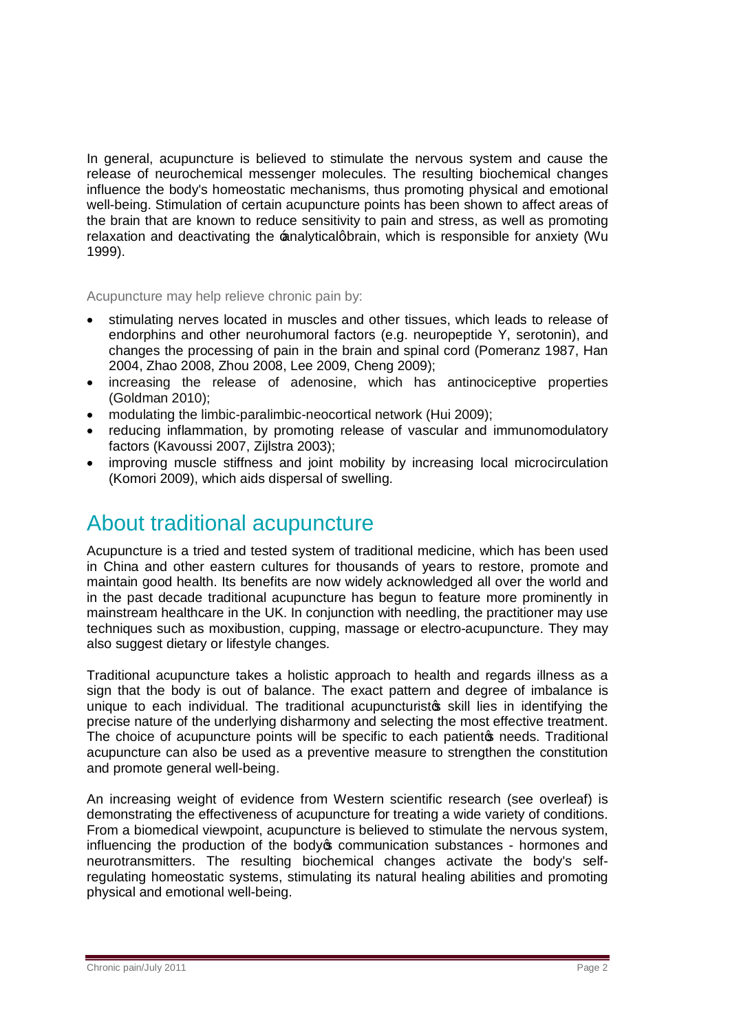In general, acupuncture is believed to stimulate the nervous system and cause the release of neurochemical messenger molecules. The resulting biochemical changes influence the body's homeostatic mechanisms, thus promoting physical and emotional well-being. Stimulation of certain acupuncture points has been shown to affect areas of the brain that are known to reduce sensitivity to pain and stress, as well as promoting relaxation and deactivating the *analyticalgbrain*, which is responsible for anxiety (Wu 1999).

Acupuncture may help relieve chronic pain by:

- · stimulating nerves located in muscles and other tissues, which leads to release of endorphins and other neurohumoral factors (e.g. neuropeptide Y, serotonin), and changes the processing of pain in the brain and spinal cord (Pomeranz 1987, Han 2004, Zhao 2008, Zhou 2008, Lee 2009, Cheng 2009);
- · increasing the release of adenosine, which has antinociceptive properties (Goldman 2010);
- · modulating the limbic-paralimbic-neocortical network (Hui 2009);
- · reducing inflammation, by promoting release of vascular and immunomodulatory factors (Kavoussi 2007, Zijlstra 2003);
- · improving muscle stiffness and joint mobility by increasing local microcirculation (Komori 2009), which aids dispersal of swelling.

### About traditional acupuncture

Acupuncture is a tried and tested system of traditional medicine, which has been used in China and other eastern cultures for thousands of years to restore, promote and maintain good health. Its benefits are now widely acknowledged all over the world and in the past decade traditional acupuncture has begun to feature more prominently in mainstream healthcare in the UK. In conjunction with needling, the practitioner may use techniques such as moxibustion, cupping, massage or electro-acupuncture. They may also suggest dietary or lifestyle changes.

Traditional acupuncture takes a holistic approach to health and regards illness as a sign that the body is out of balance. The exact pattern and degree of imbalance is unique to each individual. The traditional acupuncturistos skill lies in identifying the precise nature of the underlying disharmony and selecting the most effective treatment. The choice of acupuncture points will be specific to each patientos needs. Traditional acupuncture can also be used as a preventive measure to strengthen the constitution and promote general well-being.

An increasing weight of evidence from Western scientific research (see overleaf) is demonstrating the effectiveness of acupuncture for treating a wide variety of conditions. From a biomedical viewpoint, acupuncture is believed to stimulate the nervous system, influencing the production of the body $\sigma$  communication substances - hormones and neurotransmitters. The resulting biochemical changes activate the body's selfregulating homeostatic systems, stimulating its natural healing abilities and promoting physical and emotional well-being.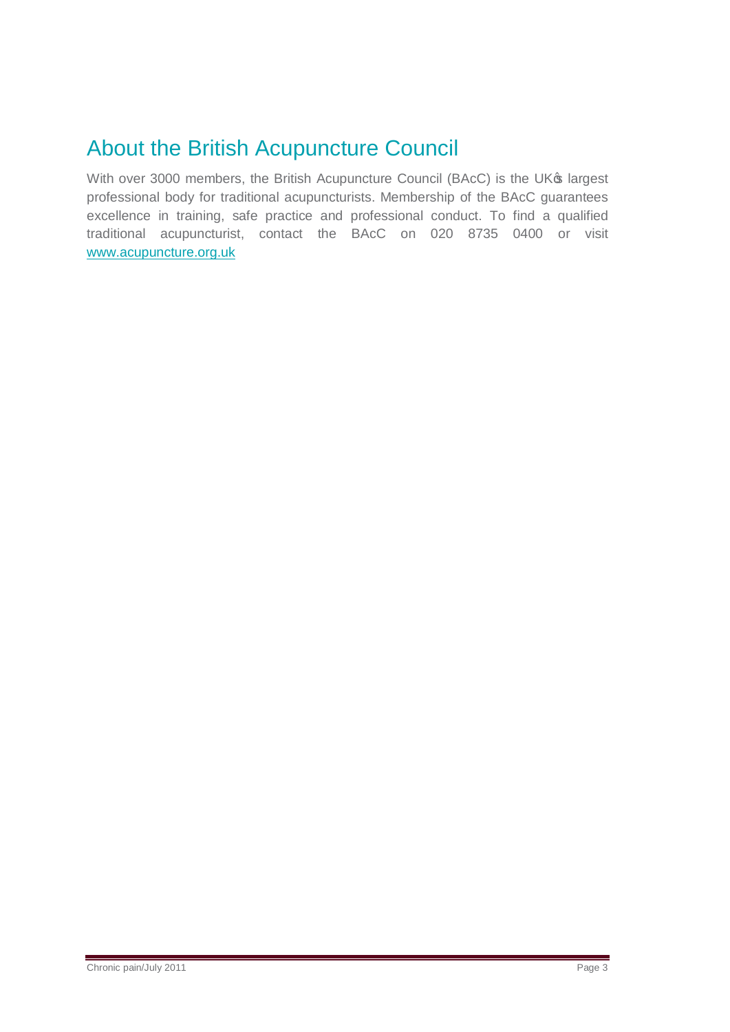## About the British Acupuncture Council

With over 3000 members, the British Acupuncture Council (BAcC) is the UK® largest professional body for traditional acupuncturists. Membership of the BAcC guarantees excellence in training, safe practice and professional conduct. To find a qualified traditional acupuncturist, contact the BAcC on 020 8735 0400 or visit [www.acupuncture.org.uk](http://www.acupuncture.org.uk/)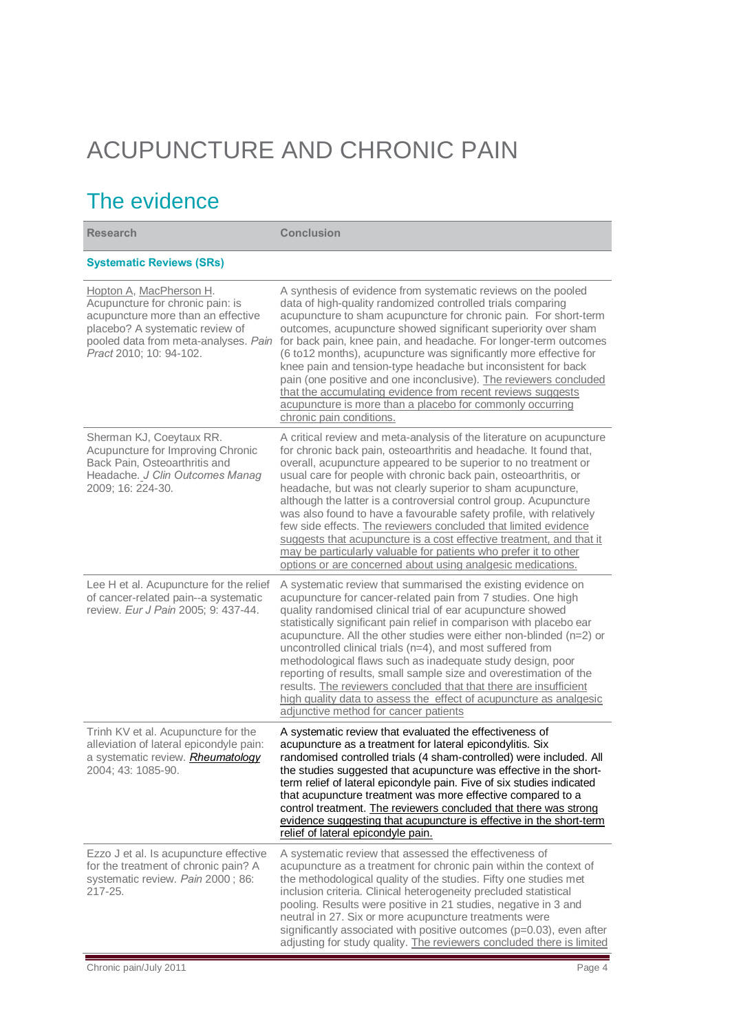# ACUPUNCTURE AND CHRONIC PAIN

## The evidence

| <b>Research</b>                                                                                                                                                                                         | <b>Conclusion</b>                                                                                                                                                                                                                                                                                                                                                                                                                                                                                                                                                                                                                                                                                                                                                          |
|---------------------------------------------------------------------------------------------------------------------------------------------------------------------------------------------------------|----------------------------------------------------------------------------------------------------------------------------------------------------------------------------------------------------------------------------------------------------------------------------------------------------------------------------------------------------------------------------------------------------------------------------------------------------------------------------------------------------------------------------------------------------------------------------------------------------------------------------------------------------------------------------------------------------------------------------------------------------------------------------|
| <b>Systematic Reviews (SRs)</b>                                                                                                                                                                         |                                                                                                                                                                                                                                                                                                                                                                                                                                                                                                                                                                                                                                                                                                                                                                            |
| Hopton A, MacPherson H.<br>Acupuncture for chronic pain: is<br>acupuncture more than an effective<br>placebo? A systematic review of<br>pooled data from meta-analyses. Pain<br>Pract 2010; 10: 94-102. | A synthesis of evidence from systematic reviews on the pooled<br>data of high-quality randomized controlled trials comparing<br>acupuncture to sham acupuncture for chronic pain. For short-term<br>outcomes, acupuncture showed significant superiority over sham<br>for back pain, knee pain, and headache. For longer-term outcomes<br>(6 to12 months), acupuncture was significantly more effective for<br>knee pain and tension-type headache but inconsistent for back<br>pain (one positive and one inconclusive). The reviewers concluded<br>that the accumulating evidence from recent reviews suggests<br>acupuncture is more than a placebo for commonly occurring<br>chronic pain conditions.                                                                  |
| Sherman KJ, Coeytaux RR.<br>Acupuncture for Improving Chronic<br>Back Pain, Osteoarthritis and<br>Headache. J Clin Outcomes Manag<br>2009; 16: 224-30.                                                  | A critical review and meta-analysis of the literature on acupuncture<br>for chronic back pain, osteoarthritis and headache. It found that,<br>overall, acupuncture appeared to be superior to no treatment or<br>usual care for people with chronic back pain, osteoarthritis, or<br>headache, but was not clearly superior to sham acupuncture,<br>although the latter is a controversial control group. Acupuncture<br>was also found to have a favourable safety profile, with relatively<br>few side effects. The reviewers concluded that limited evidence<br>suggests that acupuncture is a cost effective treatment, and that it<br>may be particularly valuable for patients who prefer it to other<br>options or are concerned about using analgesic medications. |
| Lee H et al. Acupuncture for the relief<br>of cancer-related pain--a systematic<br>review. Eur J Pain 2005; 9: 437-44.                                                                                  | A systematic review that summarised the existing evidence on<br>acupuncture for cancer-related pain from 7 studies. One high<br>quality randomised clinical trial of ear acupuncture showed<br>statistically significant pain relief in comparison with placebo ear<br>acupuncture. All the other studies were either non-blinded (n=2) or<br>uncontrolled clinical trials (n=4), and most suffered from<br>methodological flaws such as inadequate study design, poor<br>reporting of results, small sample size and overestimation of the<br>results. The reviewers concluded that that there are insufficient<br>high quality data to assess the effect of acupuncture as analgesic<br>adjunctive method for cancer patients                                            |
| Trinh KV et al. Acupuncture for the<br>alleviation of lateral epicondyle pain:<br>a systematic review. Rheumatology<br>2004; 43: 1085-90.                                                               | A systematic review that evaluated the effectiveness of<br>acupuncture as a treatment for lateral epicondylitis. Six<br>randomised controlled trials (4 sham-controlled) were included. All<br>the studies suggested that acupuncture was effective in the short-<br>term relief of lateral epicondyle pain. Five of six studies indicated<br>that acupuncture treatment was more effective compared to a<br>control treatment. The reviewers concluded that there was strong<br>evidence suggesting that acupuncture is effective in the short-term<br>relief of lateral epicondyle pain.                                                                                                                                                                                 |
| Ezzo J et al. Is acupuncture effective<br>for the treatment of chronic pain? A<br>systematic review. Pain 2000; 86:<br>217-25.                                                                          | A systematic review that assessed the effectiveness of<br>acupuncture as a treatment for chronic pain within the context of<br>the methodological quality of the studies. Fifty one studies met<br>inclusion criteria. Clinical heterogeneity precluded statistical<br>pooling. Results were positive in 21 studies, negative in 3 and<br>neutral in 27. Six or more acupuncture treatments were<br>significantly associated with positive outcomes (p=0.03), even after<br>adjusting for study quality. The reviewers concluded there is limited                                                                                                                                                                                                                          |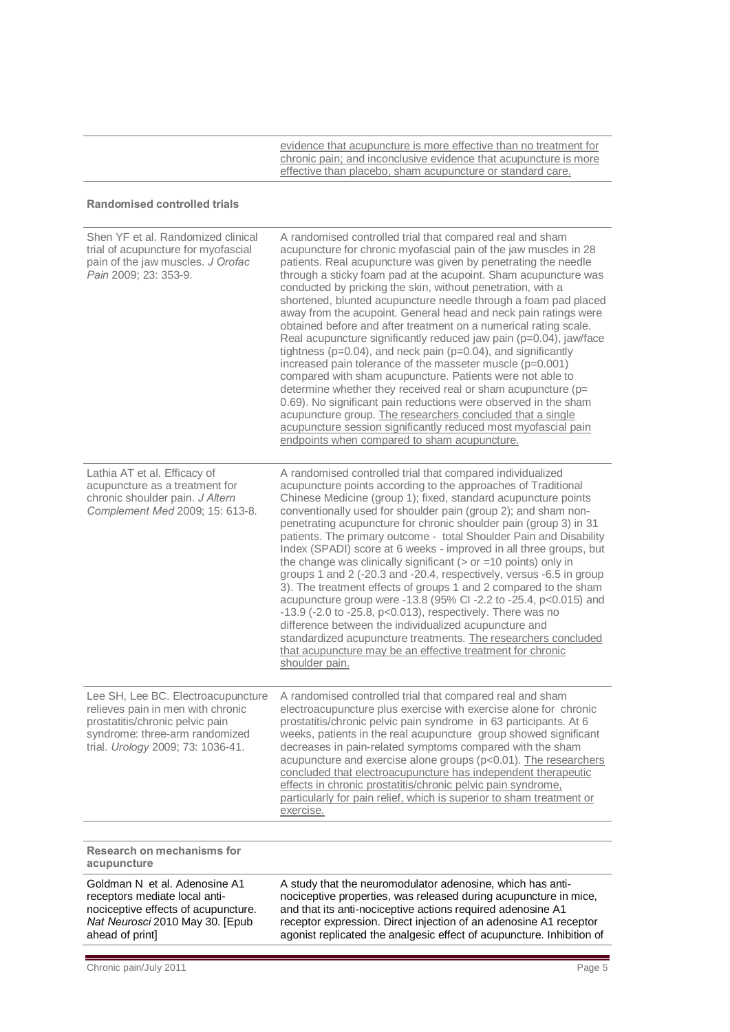evidence that acupuncture is more effective than no treatment for chronic pain; and inconclusive evidence that acupuncture is more effective than placebo, sham acupuncture or standard care.

#### **Randomised controlled trials**

| Shen YF et al. Randomized clinical<br>trial of acupuncture for myofascial<br>pain of the jaw muscles. J Orofac<br>Pain 2009; 23: 353-9.                                           | A randomised controlled trial that compared real and sham<br>acupuncture for chronic myofascial pain of the jaw muscles in 28<br>patients. Real acupuncture was given by penetrating the needle<br>through a sticky foam pad at the acupoint. Sham acupuncture was<br>conducted by pricking the skin, without penetration, with a<br>shortened, blunted acupuncture needle through a foam pad placed<br>away from the acupoint. General head and neck pain ratings were<br>obtained before and after treatment on a numerical rating scale.<br>Real acupuncture significantly reduced jaw pain (p=0.04), jaw/face<br>tightness ( $p=0.04$ ), and neck pain ( $p=0.04$ ), and significantly<br>increased pain tolerance of the masseter muscle (p=0.001)<br>compared with sham acupuncture. Patients were not able to<br>determine whether they received real or sham acupuncture (p=<br>0.69). No significant pain reductions were observed in the sham<br>acupuncture group. The researchers concluded that a single<br>acupuncture session significantly reduced most myofascial pain<br>endpoints when compared to sham acupuncture. |
|-----------------------------------------------------------------------------------------------------------------------------------------------------------------------------------|-----------------------------------------------------------------------------------------------------------------------------------------------------------------------------------------------------------------------------------------------------------------------------------------------------------------------------------------------------------------------------------------------------------------------------------------------------------------------------------------------------------------------------------------------------------------------------------------------------------------------------------------------------------------------------------------------------------------------------------------------------------------------------------------------------------------------------------------------------------------------------------------------------------------------------------------------------------------------------------------------------------------------------------------------------------------------------------------------------------------------------------------|
| Lathia AT et al. Efficacy of<br>acupuncture as a treatment for<br>chronic shoulder pain. J Altern<br>Complement Med 2009; 15: 613-8.                                              | A randomised controlled trial that compared individualized<br>acupuncture points according to the approaches of Traditional<br>Chinese Medicine (group 1); fixed, standard acupuncture points<br>conventionally used for shoulder pain (group 2); and sham non-<br>penetrating acupuncture for chronic shoulder pain (group 3) in 31<br>patients. The primary outcome - total Shoulder Pain and Disability<br>Index (SPADI) score at 6 weeks - improved in all three groups, but<br>the change was clinically significant ( $>$ or =10 points) only in<br>groups 1 and 2 (-20.3 and -20.4, respectively, versus -6.5 in group<br>3). The treatment effects of groups 1 and 2 compared to the sham<br>acupuncture group were -13.8 (95% CI -2.2 to -25.4, p<0.015) and<br>$-13.9$ ( $-2.0$ to $-25.8$ , $p<0.013$ ), respectively. There was no<br>difference between the individualized acupuncture and<br>standardized acupuncture treatments. The researchers concluded<br>that acupuncture may be an effective treatment for chronic<br>shoulder pain.                                                                               |
| Lee SH, Lee BC. Electroacupuncture<br>relieves pain in men with chronic<br>prostatitis/chronic pelvic pain<br>syndrome: three-arm randomized<br>trial. Urology 2009; 73: 1036-41. | A randomised controlled trial that compared real and sham<br>electroacupuncture plus exercise with exercise alone for chronic<br>prostatitis/chronic pelvic pain syndrome in 63 participants. At 6<br>weeks, patients in the real acupuncture group showed significant<br>decreases in pain-related symptoms compared with the sham<br>acupuncture and exercise alone groups (p<0.01). The researchers<br>concluded that electroacupuncture has independent therapeutic<br>effects in chronic prostatitis/chronic pelvic pain syndrome,<br>particularly for pain relief, which is superior to sham treatment or<br>exercise.                                                                                                                                                                                                                                                                                                                                                                                                                                                                                                            |
|                                                                                                                                                                                   |                                                                                                                                                                                                                                                                                                                                                                                                                                                                                                                                                                                                                                                                                                                                                                                                                                                                                                                                                                                                                                                                                                                                         |
| Research on mechanisms for<br>acupuncture                                                                                                                                         |                                                                                                                                                                                                                                                                                                                                                                                                                                                                                                                                                                                                                                                                                                                                                                                                                                                                                                                                                                                                                                                                                                                                         |
| Goldman N et al. Adenosine A1<br>receptors mediate local anti-<br>nociceptive effects of acupuncture.<br>Nat Neurosci 2010 May 30. [Epub<br>ahead of print]                       | A study that the neuromodulator adenosine, which has anti-<br>nociceptive properties, was released during acupuncture in mice,<br>and that its anti-nociceptive actions required adenosine A1<br>receptor expression. Direct injection of an adenosine A1 receptor<br>agonist replicated the analgesic effect of acupuncture. Inhibition of                                                                                                                                                                                                                                                                                                                                                                                                                                                                                                                                                                                                                                                                                                                                                                                             |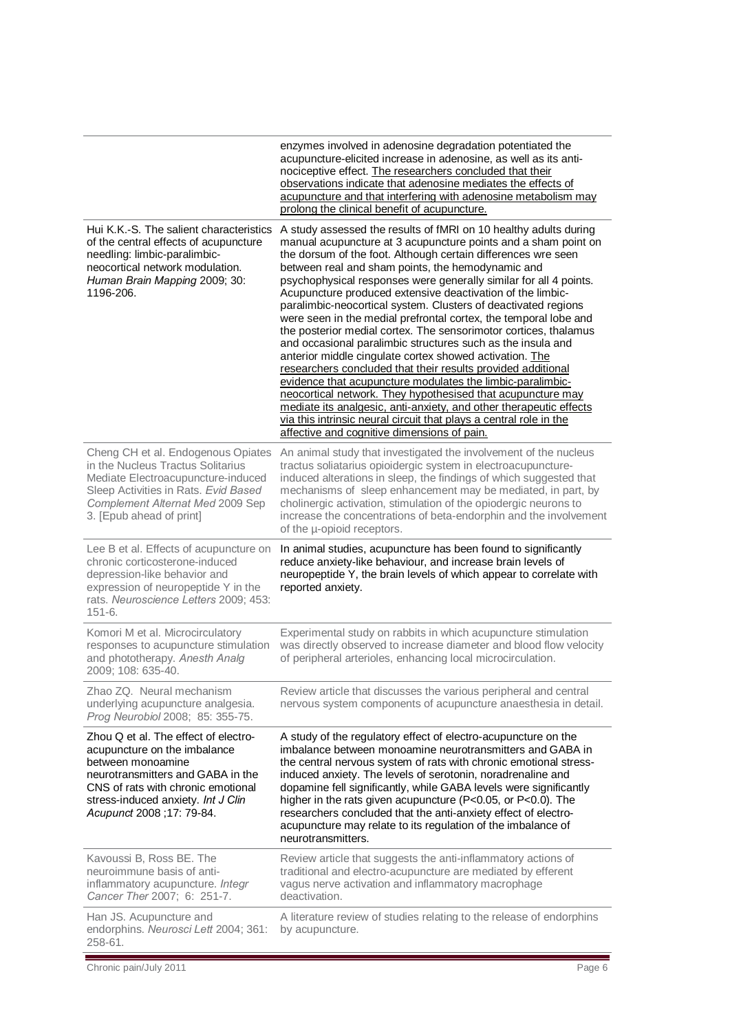|                                                                                                                                                                                                                                          | enzymes involved in adenosine degradation potentiated the<br>acupuncture-elicited increase in adenosine, as well as its anti-<br>nociceptive effect. The researchers concluded that their<br>observations indicate that adenosine mediates the effects of<br>acupuncture and that interfering with adenosine metabolism may<br>prolong the clinical benefit of acupuncture.                                                                                                                                                                                                                                                                                                                                                                                                                                                                                                                                                                                                                                                                                                                                             |
|------------------------------------------------------------------------------------------------------------------------------------------------------------------------------------------------------------------------------------------|-------------------------------------------------------------------------------------------------------------------------------------------------------------------------------------------------------------------------------------------------------------------------------------------------------------------------------------------------------------------------------------------------------------------------------------------------------------------------------------------------------------------------------------------------------------------------------------------------------------------------------------------------------------------------------------------------------------------------------------------------------------------------------------------------------------------------------------------------------------------------------------------------------------------------------------------------------------------------------------------------------------------------------------------------------------------------------------------------------------------------|
| Hui K.K.-S. The salient characteristics<br>of the central effects of acupuncture<br>needling: limbic-paralimbic-<br>neocortical network modulation.<br>Human Brain Mapping 2009; 30:<br>1196-206.                                        | A study assessed the results of fMRI on 10 healthy adults during<br>manual acupuncture at 3 acupuncture points and a sham point on<br>the dorsum of the foot. Although certain differences wre seen<br>between real and sham points, the hemodynamic and<br>psychophysical responses were generally similar for all 4 points.<br>Acupuncture produced extensive deactivation of the limbic-<br>paralimbic-neocortical system. Clusters of deactivated regions<br>were seen in the medial prefrontal cortex, the temporal lobe and<br>the posterior medial cortex. The sensorimotor cortices, thalamus<br>and occasional paralimbic structures such as the insula and<br>anterior middle cingulate cortex showed activation. The<br>researchers concluded that their results provided additional<br>evidence that acupuncture modulates the limbic-paralimbic-<br>neocortical network. They hypothesised that acupuncture may<br>mediate its analgesic, anti-anxiety, and other therapeutic effects<br>via this intrinsic neural circuit that plays a central role in the<br>affective and cognitive dimensions of pain. |
| Cheng CH et al. Endogenous Opiates<br>in the Nucleus Tractus Solitarius<br>Mediate Electroacupuncture-induced<br>Sleep Activities in Rats. Evid Based<br>Complement Alternat Med 2009 Sep<br>3. [Epub ahead of print]                    | An animal study that investigated the involvement of the nucleus<br>tractus soliatarius opioidergic system in electroacupuncture-<br>induced alterations in sleep, the findings of which suggested that<br>mechanisms of sleep enhancement may be mediated, in part, by<br>cholinergic activation, stimulation of the opiodergic neurons to<br>increase the concentrations of beta-endorphin and the involvement<br>of the u-opioid receptors.                                                                                                                                                                                                                                                                                                                                                                                                                                                                                                                                                                                                                                                                          |
| Lee B et al. Effects of acupuncture on<br>chronic corticosterone-induced<br>depression-like behavior and<br>expression of neuropeptide Y in the<br>rats. Neuroscience Letters 2009; 453:<br>$151 - 6.$                                   | In animal studies, acupuncture has been found to significantly<br>reduce anxiety-like behaviour, and increase brain levels of<br>neuropeptide Y, the brain levels of which appear to correlate with<br>reported anxiety.                                                                                                                                                                                                                                                                                                                                                                                                                                                                                                                                                                                                                                                                                                                                                                                                                                                                                                |
| Komori M et al. Microcirculatory<br>responses to acupuncture stimulation<br>and phototherapy. Anesth Analg<br>2009; 108: 635-40.                                                                                                         | Experimental study on rabbits in which acupuncture stimulation<br>was directly observed to increase diameter and blood flow velocity<br>of peripheral arterioles, enhancing local microcirculation.                                                                                                                                                                                                                                                                                                                                                                                                                                                                                                                                                                                                                                                                                                                                                                                                                                                                                                                     |
| Zhao ZQ. Neural mechanism<br>underlying acupuncture analgesia.<br>Prog Neurobiol 2008; 85: 355-75.                                                                                                                                       | Review article that discusses the various peripheral and central<br>nervous system components of acupuncture anaesthesia in detail.                                                                                                                                                                                                                                                                                                                                                                                                                                                                                                                                                                                                                                                                                                                                                                                                                                                                                                                                                                                     |
| Zhou Q et al. The effect of electro-<br>acupuncture on the imbalance<br>between monoamine<br>neurotransmitters and GABA in the<br>CNS of rats with chronic emotional<br>stress-induced anxiety. Int J Clin<br>Acupunct 2008 ; 17: 79-84. | A study of the regulatory effect of electro-acupuncture on the<br>imbalance between monoamine neurotransmitters and GABA in<br>the central nervous system of rats with chronic emotional stress-<br>induced anxiety. The levels of serotonin, noradrenaline and<br>dopamine fell significantly, while GABA levels were significantly<br>higher in the rats given acupuncture (P<0.05, or P<0.0). The<br>researchers concluded that the anti-anxiety effect of electro-<br>acupuncture may relate to its regulation of the imbalance of<br>neurotransmitters.                                                                                                                                                                                                                                                                                                                                                                                                                                                                                                                                                            |
| Kavoussi B, Ross BE. The<br>neuroimmune basis of anti-<br>inflammatory acupuncture. Integr<br>Cancer Ther 2007; 6: 251-7.                                                                                                                | Review article that suggests the anti-inflammatory actions of<br>traditional and electro-acupuncture are mediated by efferent<br>vagus nerve activation and inflammatory macrophage<br>deactivation.                                                                                                                                                                                                                                                                                                                                                                                                                                                                                                                                                                                                                                                                                                                                                                                                                                                                                                                    |
| Han JS. Acupuncture and<br>endorphins. Neurosci Lett 2004; 361:<br>258-61.                                                                                                                                                               | A literature review of studies relating to the release of endorphins<br>by acupuncture.                                                                                                                                                                                                                                                                                                                                                                                                                                                                                                                                                                                                                                                                                                                                                                                                                                                                                                                                                                                                                                 |